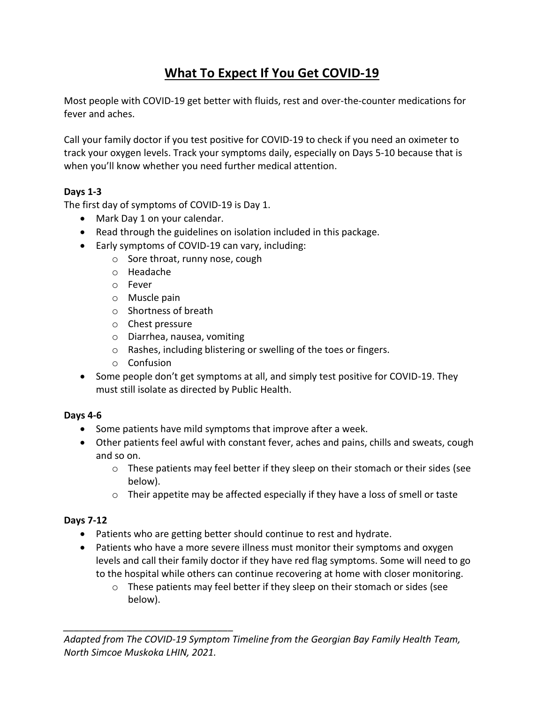# **What To Expect If You Get COVID-19**

Most people with COVID-19 get better with fluids, rest and over-the-counter medications for fever and aches.

Call your family doctor if you test positive for COVID-19 to check if you need an oximeter to track your oxygen levels. Track your symptoms daily, especially on Days 5-10 because that is when you'll know whether you need further medical attention.

### **Days 1-3**

The first day of symptoms of COVID-19 is Day 1.

- Mark Day 1 on your calendar.
- Read through the guidelines on isolation included in this package.
- Early symptoms of COVID-19 can vary, including:
	- o Sore throat, runny nose, cough
	- o Headache
	- o Fever
	- o Muscle pain
	- o Shortness of breath
	- o Chest pressure
	- o Diarrhea, nausea, vomiting
	- o Rashes, including blistering or swelling of the toes or fingers.
	- o Confusion

*\_\_\_\_\_\_\_\_\_\_\_\_\_\_\_\_\_\_\_\_\_\_\_\_\_\_\_\_\_\_\_\_*

• Some people don't get symptoms at all, and simply test positive for COVID-19. They must still isolate as directed by Public Health.

#### **Days 4-6**

- Some patients have mild symptoms that improve after a week.
- Other patients feel awful with constant fever, aches and pains, chills and sweats, cough and so on.
	- $\circ$  These patients may feel better if they sleep on their stomach or their sides (see below).
	- $\circ$  Their appetite may be affected especially if they have a loss of smell or taste

#### **Days 7-12**

- Patients who are getting better should continue to rest and hydrate.
- Patients who have a more severe illness must monitor their symptoms and oxygen levels and call their family doctor if they have red flag symptoms. Some will need to go to the hospital while others can continue recovering at home with closer monitoring.
	- o These patients may feel better if they sleep on their stomach or sides (see below).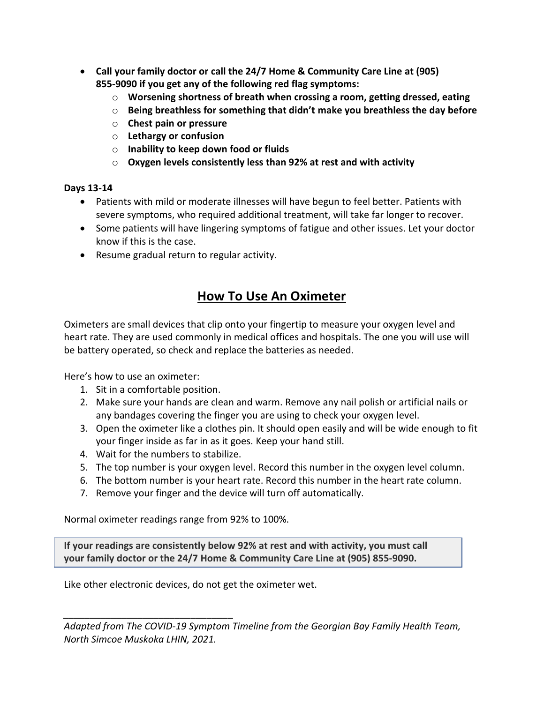- **Call your family doctor or call the 24/7 Home & Community Care Line at (905) 855-9090 if you get any of the following red flag symptoms:**
	- o **Worsening shortness of breath when crossing a room, getting dressed, eating**
	- o **Being breathless for something that didn't make you breathless the day before**
	- o **Chest pain or pressure**
	- o **Lethargy or confusion**
	- o **Inability to keep down food or fluids**
	- o **Oxygen levels consistently less than 92% at rest and with activity**

#### **Days 13-14**

- Patients with mild or moderate illnesses will have begun to feel better. Patients with severe symptoms, who required additional treatment, will take far longer to recover.
- Some patients will have lingering symptoms of fatigue and other issues. Let your doctor know if this is the case.
- Resume gradual return to regular activity.

## **How To Use An Oximeter**

Oximeters are small devices that clip onto your fingertip to measure your oxygen level and heart rate. They are used commonly in medical offices and hospitals. The one you will use will be battery operated, so check and replace the batteries as needed.

Here's how to use an oximeter:

- 1. Sit in a comfortable position.
- 2. Make sure your hands are clean and warm. Remove any nail polish or artificial nails or any bandages covering the finger you are using to check your oxygen level.
- 3. Open the oximeter like a clothes pin. It should open easily and will be wide enough to fit your finger inside as far in as it goes. Keep your hand still.
- 4. Wait for the numbers to stabilize.

*\_\_\_\_\_\_\_\_\_\_\_\_\_\_\_\_\_\_\_\_\_\_\_\_\_\_\_\_\_\_\_\_*

- 5. The top number is your oxygen level. Record this number in the oxygen level column.
- 6. The bottom number is your heart rate. Record this number in the heart rate column.
- 7. Remove your finger and the device will turn off automatically.

Normal oximeter readings range from 92% to 100%.

**If your readings are consistently below 92% at rest and with activity, you must call your family doctor or the 24/7 Home & Community Care Line at (905) 855-9090.** 

Like other electronic devices, do not get the oximeter wet.

*Adapted from The COVID-19 Symptom Timeline from the Georgian Bay Family Health Team, North Simcoe Muskoka LHIN, 2021.*